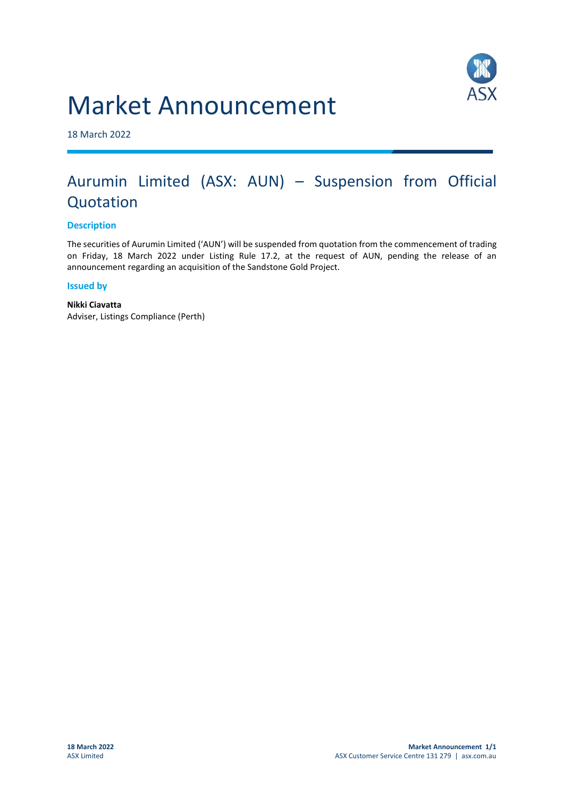# Market Announcement



18 March 2022

## Aurumin Limited (ASX: AUN) – Suspension from Official Quotation

### **Description**

The securities of Aurumin Limited ('AUN') will be suspended from quotation from the commencement of trading on Friday, 18 March 2022 under Listing Rule 17.2, at the request of AUN, pending the release of an announcement regarding an acquisition of the Sandstone Gold Project.

#### **Issued by**

**Nikki Ciavatta** Adviser, Listings Compliance (Perth)